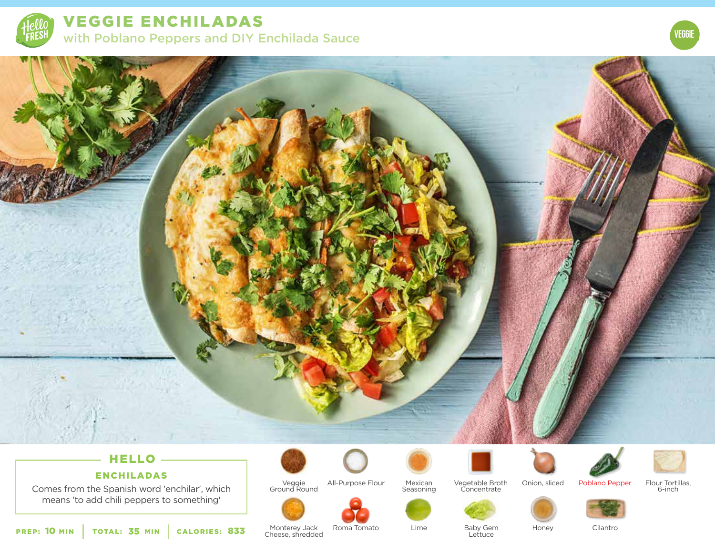

VEGGIE ENCHILADAS with Poblano Peppers and DIY Enchilada Sauce



# HELLO

## ENCHILADAS

Comes from the Spanish word 'enchilar', which means 'to add chili peppers to something'



Monterey Jack 833 Monterey Jack Roma Tomato Lime<br>
Cheese, shredded



Veggie Ground Round All-Purpose Flour



Vegetable Broth Concentrate







Flour Tortillas, 6-inch





**Lettuce** 

Honey

Cilantro